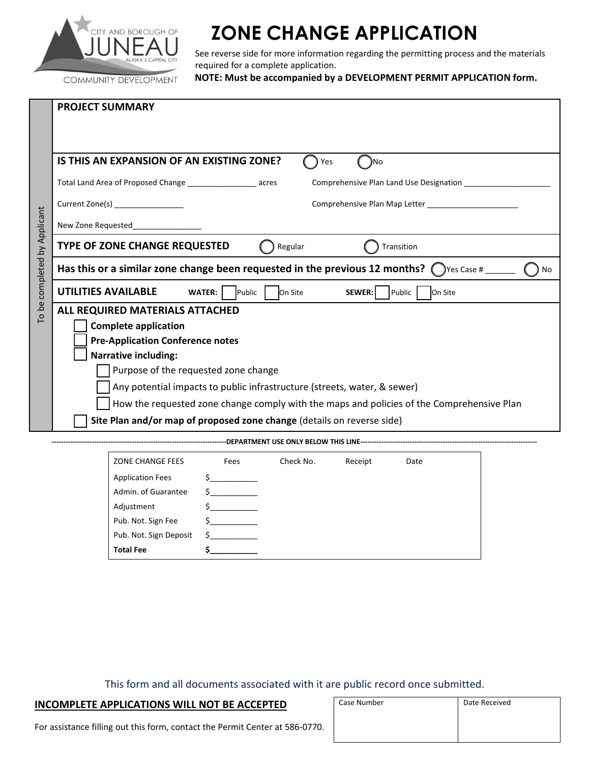

## **ZONE CHANGE APPLICATION**

See reverse side for more information regarding the permitting process and the materials required for a complete application.

COMMUNITY DEVELOPMENT

**NOTE: Must be accompanied by a DEVELOPMENT PERMIT APPLICATION form.**

|                              | <b>PROJECT SUMMARY</b>                                                                                        |
|------------------------------|---------------------------------------------------------------------------------------------------------------|
|                              |                                                                                                               |
|                              | IS THIS AN EXPANSION OF AN EXISTING ZONE?<br>)No<br>Yes                                                       |
|                              | Total Land Area of Proposed Change ____________________ acres                                                 |
|                              | Current Zone(s) _________________                                                                             |
|                              | New Zone Requested                                                                                            |
| To be completed by Applicant | TYPE OF ZONE CHANGE REQUESTED<br>Regular<br>Transition                                                        |
|                              | Has this or a similar zone change been requested in the previous 12 months? $\bigcap$ Yes Case # ______<br>No |
|                              | <b>UTILITIES AVAILABLE</b><br>On Site<br><b>WATER:</b><br>Public<br>On Site<br>SEWER:<br>Public               |
|                              | ALL REQUIRED MATERIALS ATTACHED                                                                               |
|                              | <b>Complete application</b>                                                                                   |
|                              | <b>Pre-Application Conference notes</b>                                                                       |
|                              | <b>Narrative including:</b>                                                                                   |
|                              | Purpose of the requested zone change                                                                          |
|                              | Any potential impacts to public infrastructure (streets, water, & sewer)                                      |
|                              | How the requested zone change comply with the maps and policies of the Comprehensive Plan                     |
|                              | Site Plan and/or map of proposed zone change (details on reverse side)                                        |
|                              |                                                                                                               |
|                              | Check No.<br><b>ZONE CHANGE FEES</b><br>Fees<br>Receipt<br>Date                                               |
|                              | <b>Application Fees</b>                                                                                       |
|                              | Admin. of Guarantee<br>$\mathsf{S}$ and $\mathsf{S}$                                                          |
|                              | Adjustment                                                                                                    |

This form and all documents associated with it are public record once submitted.

| <b>INCOMPLETE APPLICATIONS WILL NOT BE ACCEPTED</b> |
|-----------------------------------------------------|
|-----------------------------------------------------|

Pub. Not. Sign Fee \$ Pub. Not. Sign Deposit \$ **Total Fee \$\_\_\_\_\_\_\_\_\_\_\_**

| Case Number | Date Received |
|-------------|---------------|
|             |               |
|             |               |
|             |               |

For assistance filling out this form, contact the Permit Center at 586‐0770.